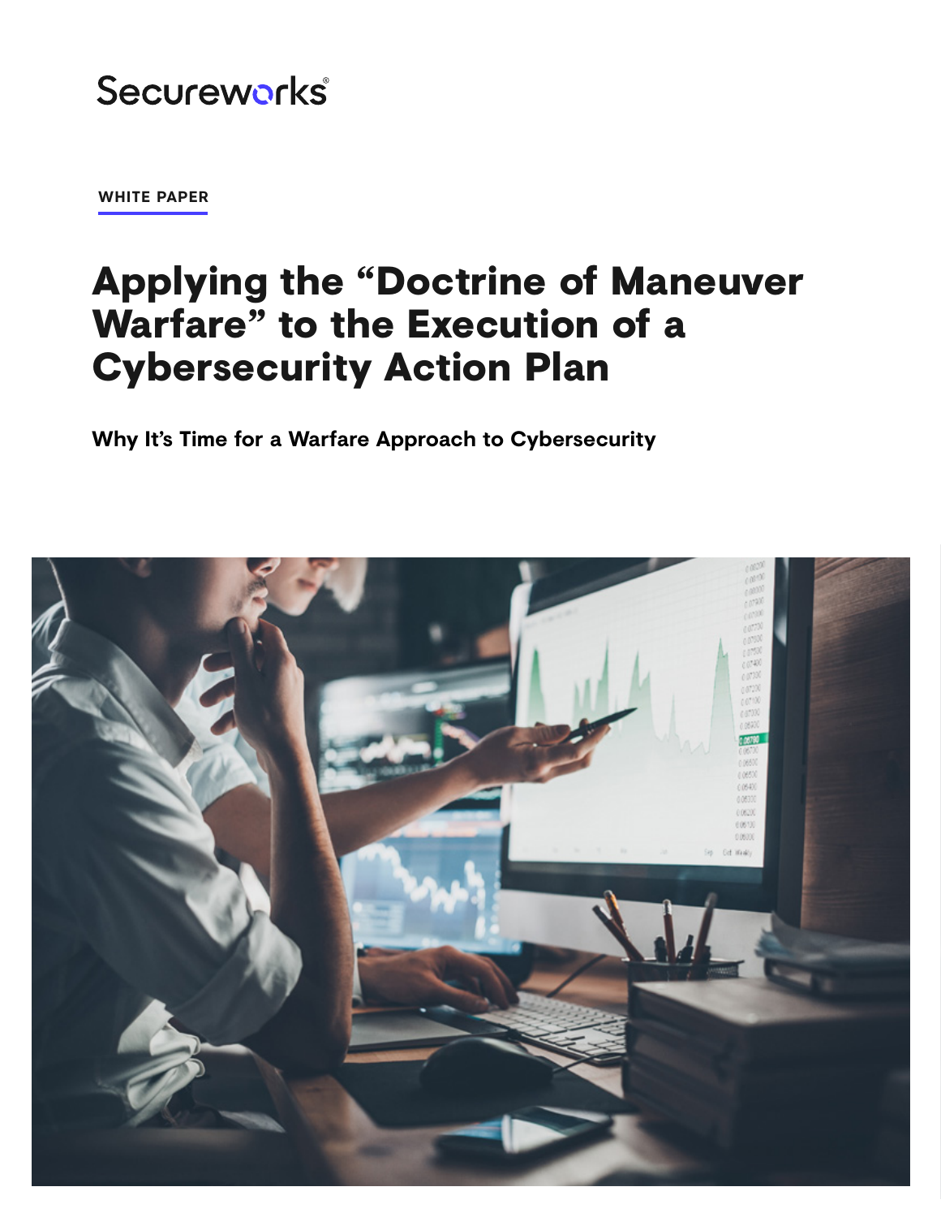# Secureworks®

**WHITE PAPER**

# Applying the "Doctrine of Maneuver Warfare" to the Execution of a Cybersecurity Action Plan

**Why It's Time for a Warfare Approach to Cybersecurity**

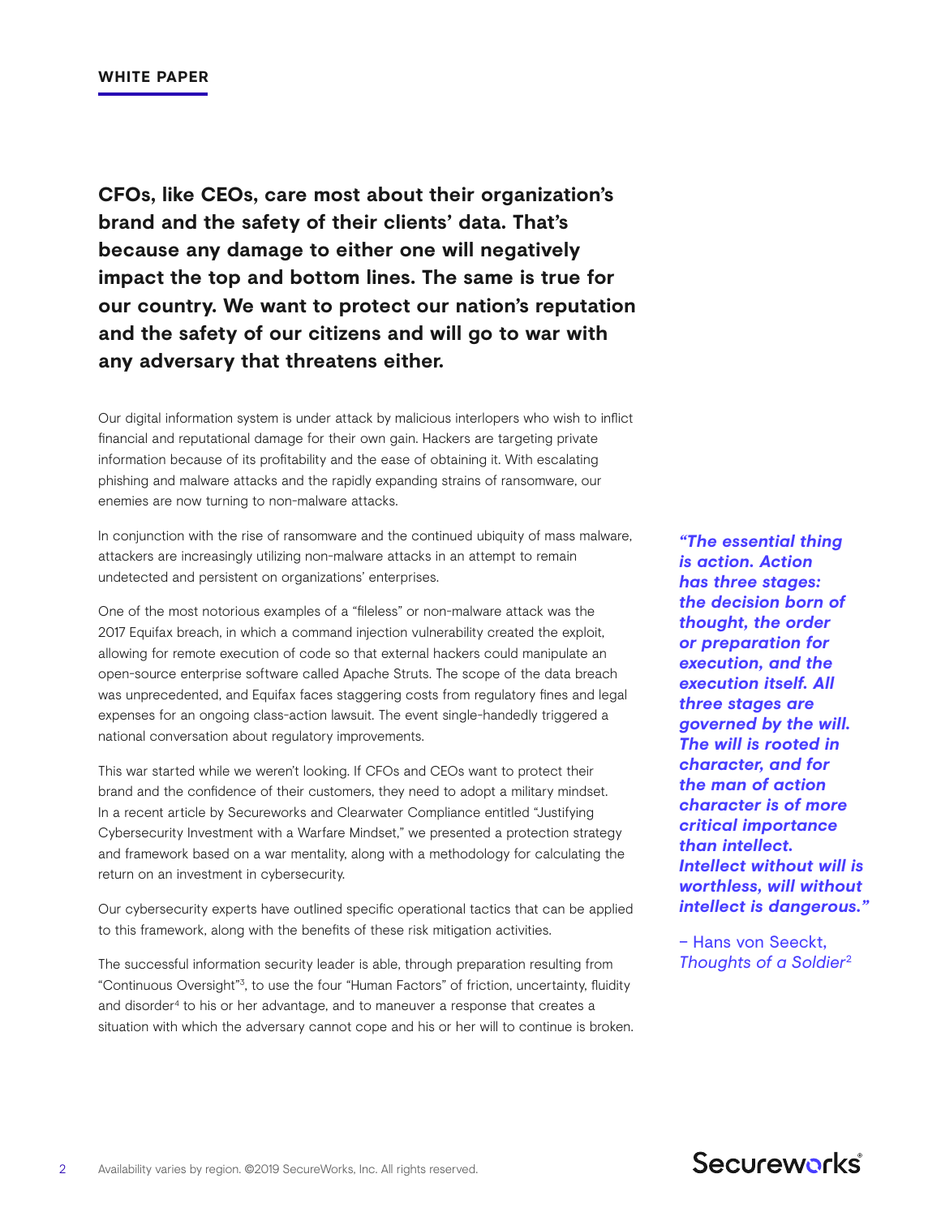**CFOs, like CEOs, care most about their organization's brand and the safety of their clients' data. That's because any damage to either one will negatively impact the top and bottom lines. The same is true for our country. We want to protect our nation's reputation and the safety of our citizens and will go to war with any adversary that threatens either.**

Our digital information system is under attack by malicious interlopers who wish to inflict financial and reputational damage for their own gain. Hackers are targeting private information because of its profitability and the ease of obtaining it. With escalating phishing and malware attacks and the rapidly expanding strains of ransomware, our enemies are now turning to non-malware attacks.

In conjunction with the rise of ransomware and the continued ubiquity of mass malware, attackers are increasingly utilizing non-malware attacks in an attempt to remain undetected and persistent on organizations' enterprises.

One of the most notorious examples of a "fileless" or non-malware attack was the 2017 Equifax breach, in which a command injection vulnerability created the exploit, allowing for remote execution of code so that external hackers could manipulate an open-source enterprise software called Apache Struts. The scope of the data breach was unprecedented, and Equifax faces staggering costs from regulatory fines and legal expenses for an ongoing class-action lawsuit. The event single-handedly triggered a national conversation about regulatory improvements.

This war started while we weren't looking. If CFOs and CEOs want to protect their brand and the confidence of their customers, they need to adopt a military mindset. In a recent article by Secureworks and Clearwater Compliance entitled "Justifying Cybersecurity Investment with a Warfare Mindset," we presented a protection strategy and framework based on a war mentality, along with a methodology for calculating the return on an investment in cybersecurity.

Our cybersecurity experts have outlined specific operational tactics that can be applied to this framework, along with the benefits of these risk mitigation activities.

The successful information security leader is able, through preparation resulting from "Continuous Oversight"3, to use the four "Human Factors" of friction, uncertainty, fluidity and disorder4 to his or her advantage, and to maneuver a response that creates a situation with which the adversary cannot cope and his or her will to continue is broken.

*"The essential thing is action. Action has three stages: the decision born of thought, the order or preparation for execution, and the execution itself. All three stages are governed by the will. The will is rooted in character, and for the man of action character is of more critical importance than intellect. Intellect without will is worthless, will without intellect is dangerous."* 

– Hans von Seeckt, *Thoughts of a Soldier*2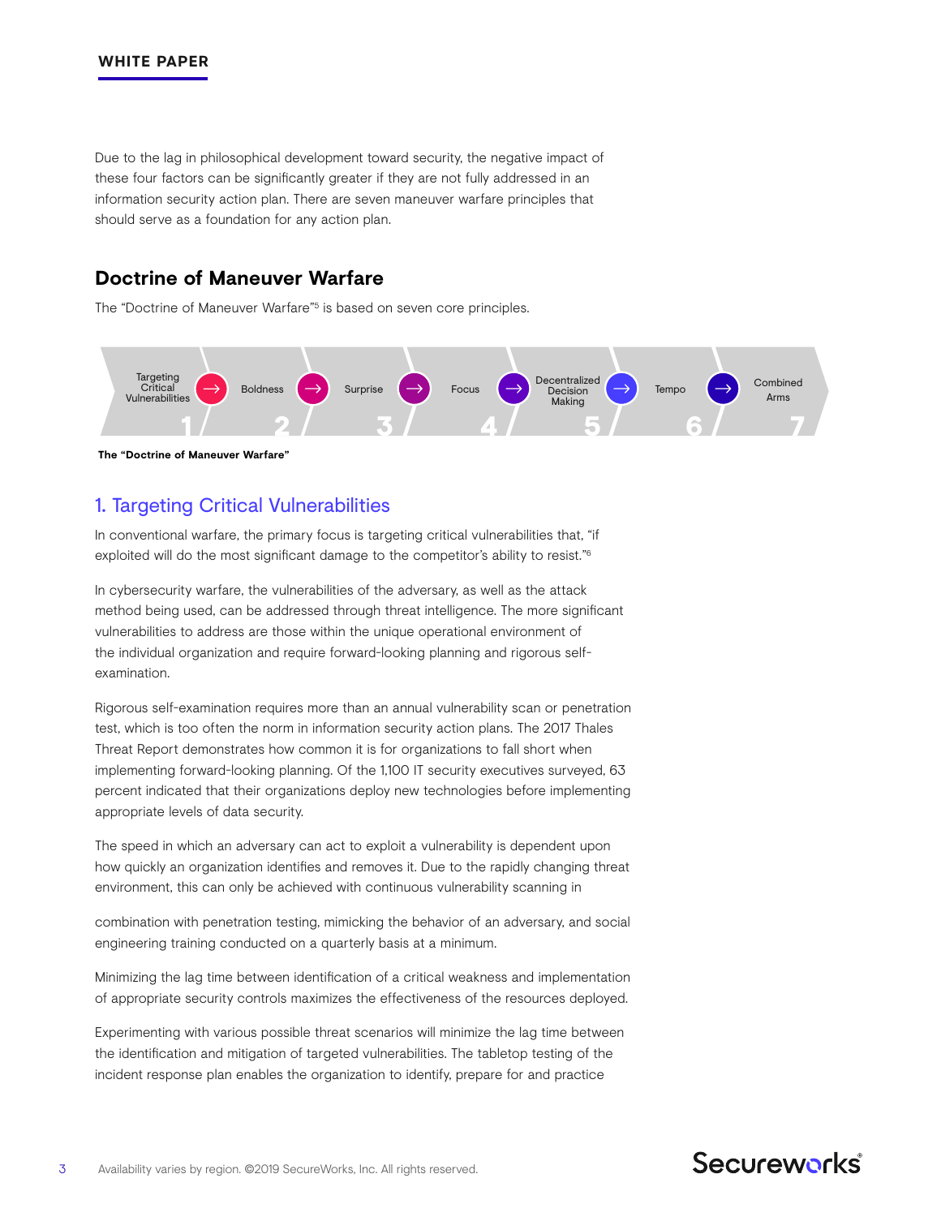Due to the lag in philosophical development toward security, the negative impact of these four factors can be significantly greater if they are not fully addressed in an information security action plan. There are seven maneuver warfare principles that should serve as a foundation for any action plan.

## **Doctrine of Maneuver Warfare**

The "Doctrine of Maneuver Warfare"<sup>5</sup> is based on seven core principles.



**The "Doctrine of Maneuver Warfare"**

# 1. Targeting Critical Vulnerabilities

In conventional warfare, the primary focus is targeting critical vulnerabilities that, "if exploited will do the most significant damage to the competitor's ability to resist."6

In cybersecurity warfare, the vulnerabilities of the adversary, as well as the attack method being used, can be addressed through threat intelligence. The more significant vulnerabilities to address are those within the unique operational environment of the individual organization and require forward-looking planning and rigorous selfexamination.

Rigorous self-examination requires more than an annual vulnerability scan or penetration test, which is too often the norm in information security action plans. The 2017 Thales Threat Report demonstrates how common it is for organizations to fall short when implementing forward-looking planning. Of the 1,100 IT security executives surveyed, 63 percent indicated that their organizations deploy new technologies before implementing appropriate levels of data security.

The speed in which an adversary can act to exploit a vulnerability is dependent upon how quickly an organization identifies and removes it. Due to the rapidly changing threat environment, this can only be achieved with continuous vulnerability scanning in

combination with penetration testing, mimicking the behavior of an adversary, and social engineering training conducted on a quarterly basis at a minimum.

Minimizing the lag time between identification of a critical weakness and implementation of appropriate security controls maximizes the effectiveness of the resources deployed.

Experimenting with various possible threat scenarios will minimize the lag time between the identification and mitigation of targeted vulnerabilities. The tabletop testing of the incident response plan enables the organization to identify, prepare for and practice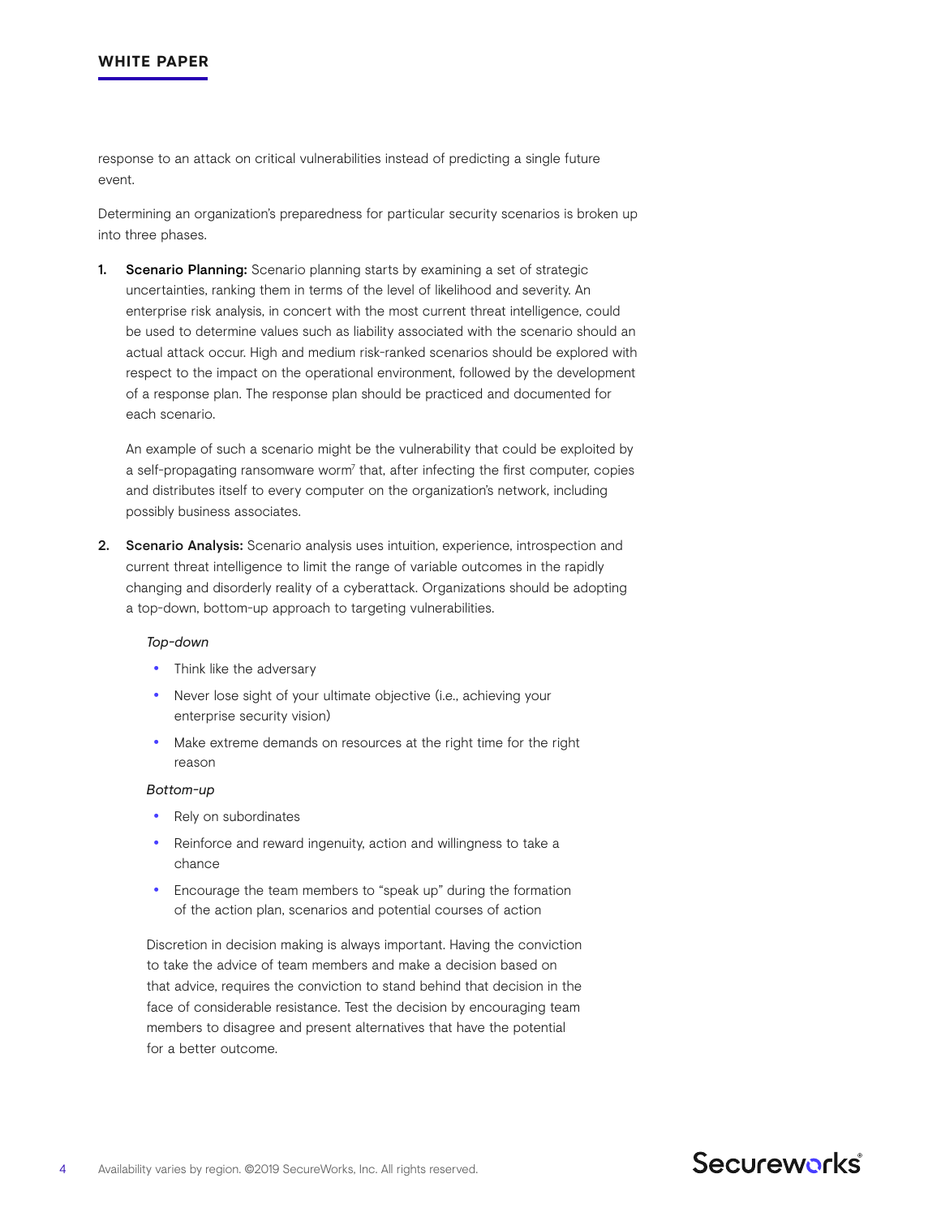response to an attack on critical vulnerabilities instead of predicting a single future event.

Determining an organization's preparedness for particular security scenarios is broken up into three phases.

1. Scenario Planning: Scenario planning starts by examining a set of strategic uncertainties, ranking them in terms of the level of likelihood and severity. An enterprise risk analysis, in concert with the most current threat intelligence, could be used to determine values such as liability associated with the scenario should an actual attack occur. High and medium risk-ranked scenarios should be explored with respect to the impact on the operational environment, followed by the development of a response plan. The response plan should be practiced and documented for each scenario.

An example of such a scenario might be the vulnerability that could be exploited by a self-propagating ransomware worm<sup>7</sup> that, after infecting the first computer, copies and distributes itself to every computer on the organization's network, including possibly business associates.

2. Scenario Analysis: Scenario analysis uses intuition, experience, introspection and current threat intelligence to limit the range of variable outcomes in the rapidly changing and disorderly reality of a cyberattack. Organizations should be adopting a top-down, bottom-up approach to targeting vulnerabilities.

#### *Top-down*

- Think like the adversary
- Never lose sight of your ultimate objective (i.e., achieving your enterprise security vision)
- Make extreme demands on resources at the right time for the right reason

#### *Bottom-up*

- Rely on subordinates
- Reinforce and reward ingenuity, action and willingness to take a chance
- Encourage the team members to "speak up" during the formation of the action plan, scenarios and potential courses of action

Discretion in decision making is always important. Having the conviction to take the advice of team members and make a decision based on that advice, requires the conviction to stand behind that decision in the face of considerable resistance. Test the decision by encouraging team members to disagree and present alternatives that have the potential for a better outcome.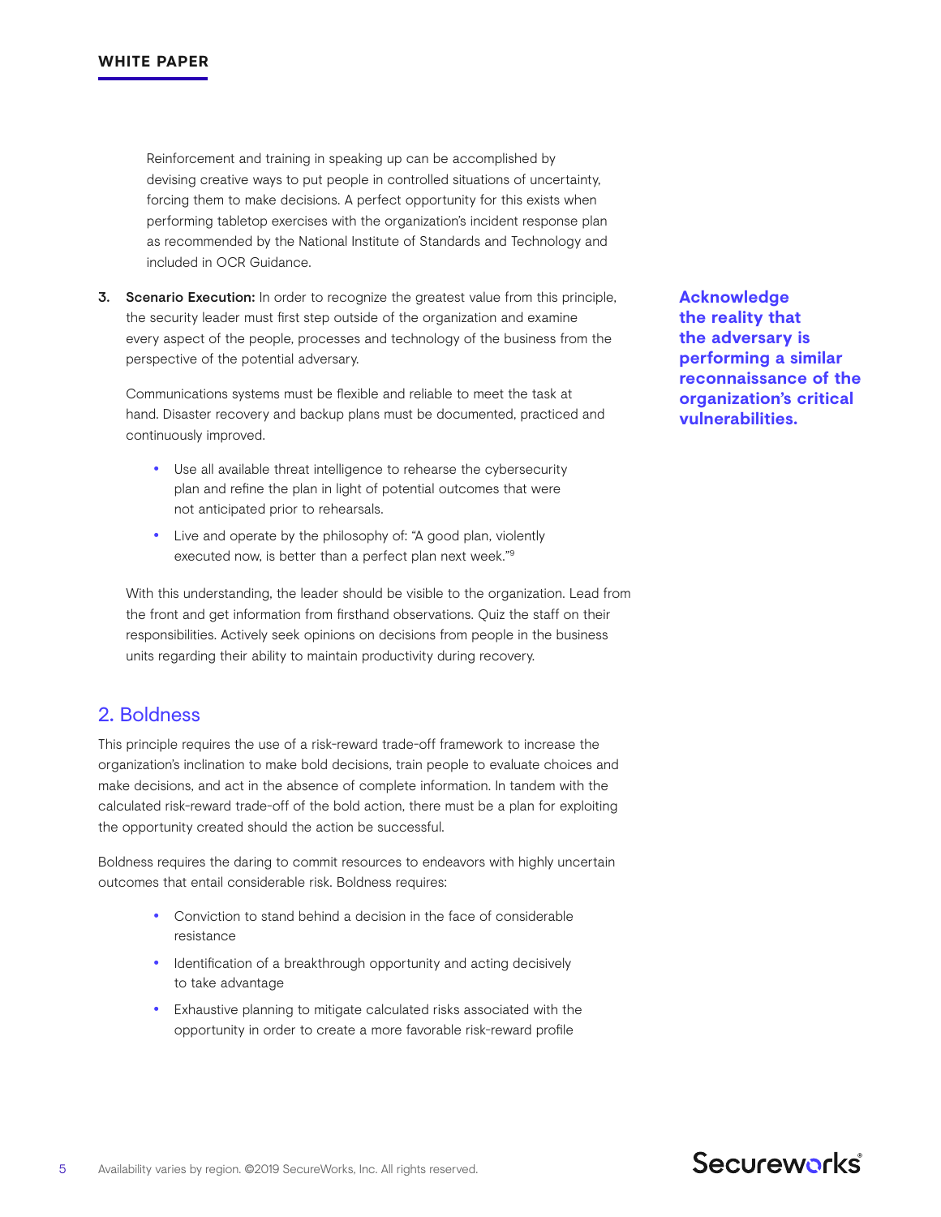Reinforcement and training in speaking up can be accomplished by devising creative ways to put people in controlled situations of uncertainty, forcing them to make decisions. A perfect opportunity for this exists when performing tabletop exercises with the organization's incident response plan as recommended by the National Institute of Standards and Technology and included in OCR Guidance.

3. Scenario Execution: In order to recognize the greatest value from this principle, the security leader must first step outside of the organization and examine every aspect of the people, processes and technology of the business from the perspective of the potential adversary.

Communications systems must be flexible and reliable to meet the task at hand. Disaster recovery and backup plans must be documented, practiced and continuously improved.

- Use all available threat intelligence to rehearse the cybersecurity plan and refine the plan in light of potential outcomes that were not anticipated prior to rehearsals.
- Live and operate by the philosophy of: "A good plan, violently executed now, is better than a perfect plan next week."9

With this understanding, the leader should be visible to the organization. Lead from the front and get information from firsthand observations. Quiz the staff on their responsibilities. Actively seek opinions on decisions from people in the business units regarding their ability to maintain productivity during recovery.

# 2. Boldness

This principle requires the use of a risk-reward trade-off framework to increase the organization's inclination to make bold decisions, train people to evaluate choices and make decisions, and act in the absence of complete information. In tandem with the calculated risk-reward trade-off of the bold action, there must be a plan for exploiting the opportunity created should the action be successful.

Boldness requires the daring to commit resources to endeavors with highly uncertain outcomes that entail considerable risk. Boldness requires:

- Conviction to stand behind a decision in the face of considerable resistance
- Identification of a breakthrough opportunity and acting decisively to take advantage
- Exhaustive planning to mitigate calculated risks associated with the opportunity in order to create a more favorable risk-reward profile

**Acknowledge the reality that the adversary is performing a similar reconnaissance of the organization's critical vulnerabilities.**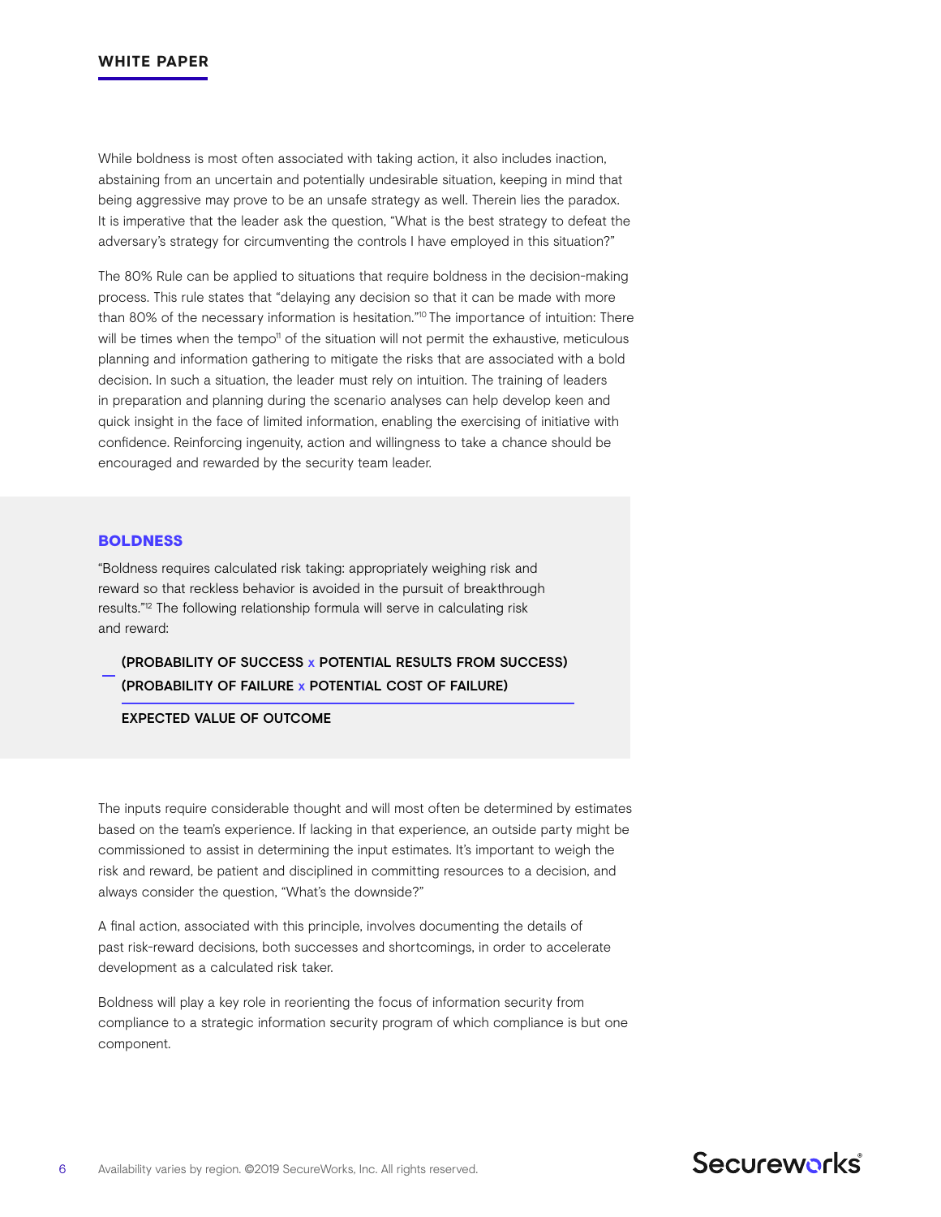While boldness is most often associated with taking action, it also includes inaction, abstaining from an uncertain and potentially undesirable situation, keeping in mind that being aggressive may prove to be an unsafe strategy as well. Therein lies the paradox. It is imperative that the leader ask the question, "What is the best strategy to defeat the adversary's strategy for circumventing the controls I have employed in this situation?"

The 80% Rule can be applied to situations that require boldness in the decision-making process. This rule states that "delaying any decision so that it can be made with more than 80% of the necessary information is hesitation."<sup>10</sup> The importance of intuition: There will be times when the tempo<sup>11</sup> of the situation will not permit the exhaustive, meticulous planning and information gathering to mitigate the risks that are associated with a bold decision. In such a situation, the leader must rely on intuition. The training of leaders in preparation and planning during the scenario analyses can help develop keen and quick insight in the face of limited information, enabling the exercising of initiative with confidence. Reinforcing ingenuity, action and willingness to take a chance should be encouraged and rewarded by the security team leader.

### **BOLDNESS**

"Boldness requires calculated risk taking: appropriately weighing risk and reward so that reckless behavior is avoided in the pursuit of breakthrough results."12 The following relationship formula will serve in calculating risk and reward:

# (PROBABILITY OF SUCCESS x POTENTIAL RESULTS FROM SUCCESS) (PROBABILITY OF FAILURE x POTENTIAL COST OF FAILURE)

#### EXPECTED VALUE OF OUTCOME

The inputs require considerable thought and will most often be determined by estimates based on the team's experience. If lacking in that experience, an outside party might be commissioned to assist in determining the input estimates. It's important to weigh the risk and reward, be patient and disciplined in committing resources to a decision, and always consider the question, "What's the downside?"

A final action, associated with this principle, involves documenting the details of past risk-reward decisions, both successes and shortcomings, in order to accelerate development as a calculated risk taker.

Boldness will play a key role in reorienting the focus of information security from compliance to a strategic information security program of which compliance is but one component.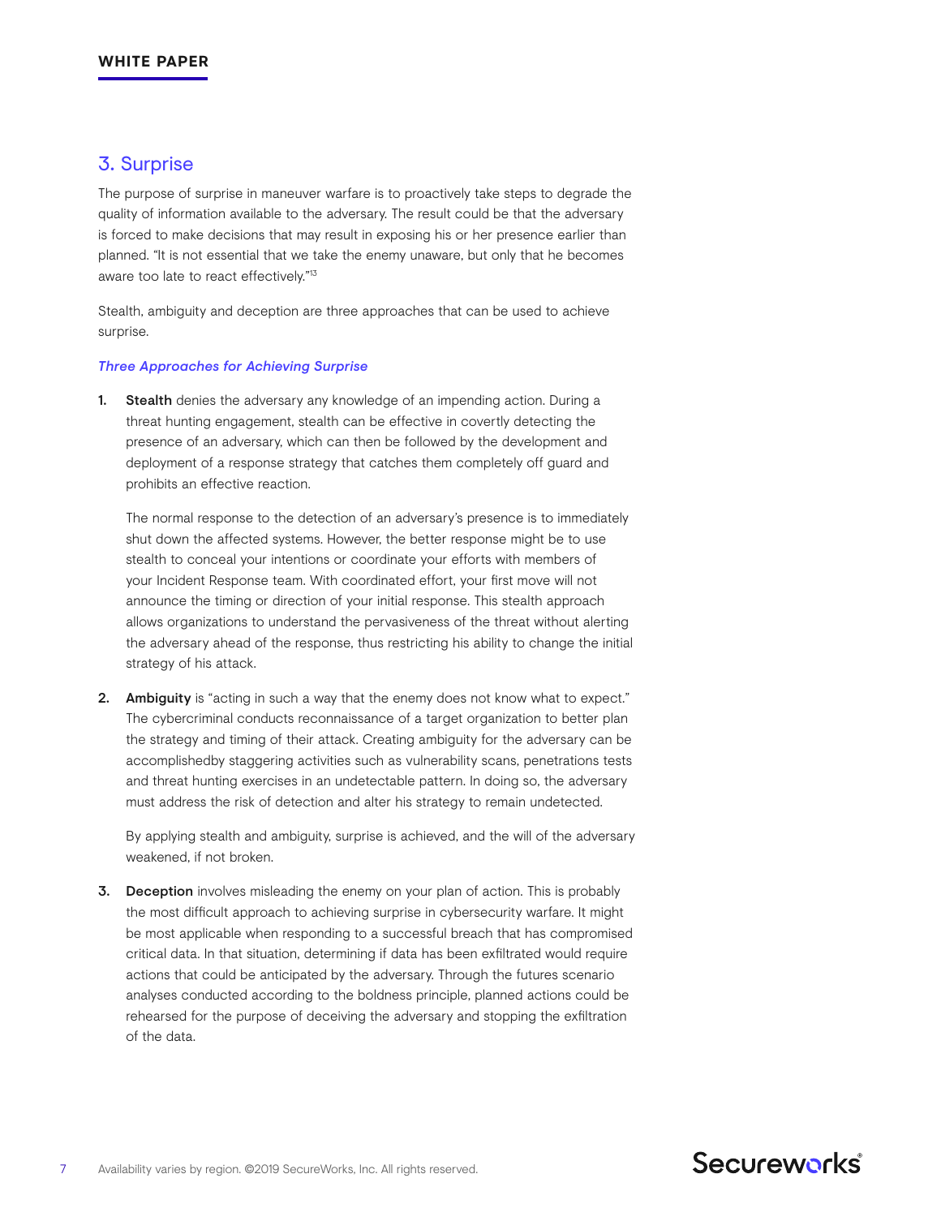## 3. Surprise

The purpose of surprise in maneuver warfare is to proactively take steps to degrade the quality of information available to the adversary. The result could be that the adversary is forced to make decisions that may result in exposing his or her presence earlier than planned. "It is not essential that we take the enemy unaware, but only that he becomes aware too late to react effectively."13

Stealth, ambiguity and deception are three approaches that can be used to achieve surprise.

#### *Three Approaches for Achieving Surprise*

1. Stealth denies the adversary any knowledge of an impending action. During a threat hunting engagement, stealth can be effective in covertly detecting the presence of an adversary, which can then be followed by the development and deployment of a response strategy that catches them completely off guard and prohibits an effective reaction.

The normal response to the detection of an adversary's presence is to immediately shut down the affected systems. However, the better response might be to use stealth to conceal your intentions or coordinate your efforts with members of your Incident Response team. With coordinated effort, your first move will not announce the timing or direction of your initial response. This stealth approach allows organizations to understand the pervasiveness of the threat without alerting the adversary ahead of the response, thus restricting his ability to change the initial strategy of his attack.

2. Ambiguity is "acting in such a way that the enemy does not know what to expect." The cybercriminal conducts reconnaissance of a target organization to better plan the strategy and timing of their attack. Creating ambiguity for the adversary can be accomplishedby staggering activities such as vulnerability scans, penetrations tests and threat hunting exercises in an undetectable pattern. In doing so, the adversary must address the risk of detection and alter his strategy to remain undetected.

By applying stealth and ambiguity, surprise is achieved, and the will of the adversary weakened, if not broken.

3. Deception involves misleading the enemy on your plan of action. This is probably the most difficult approach to achieving surprise in cybersecurity warfare. It might be most applicable when responding to a successful breach that has compromised critical data. In that situation, determining if data has been exfiltrated would require actions that could be anticipated by the adversary. Through the futures scenario analyses conducted according to the boldness principle, planned actions could be rehearsed for the purpose of deceiving the adversary and stopping the exfiltration of the data.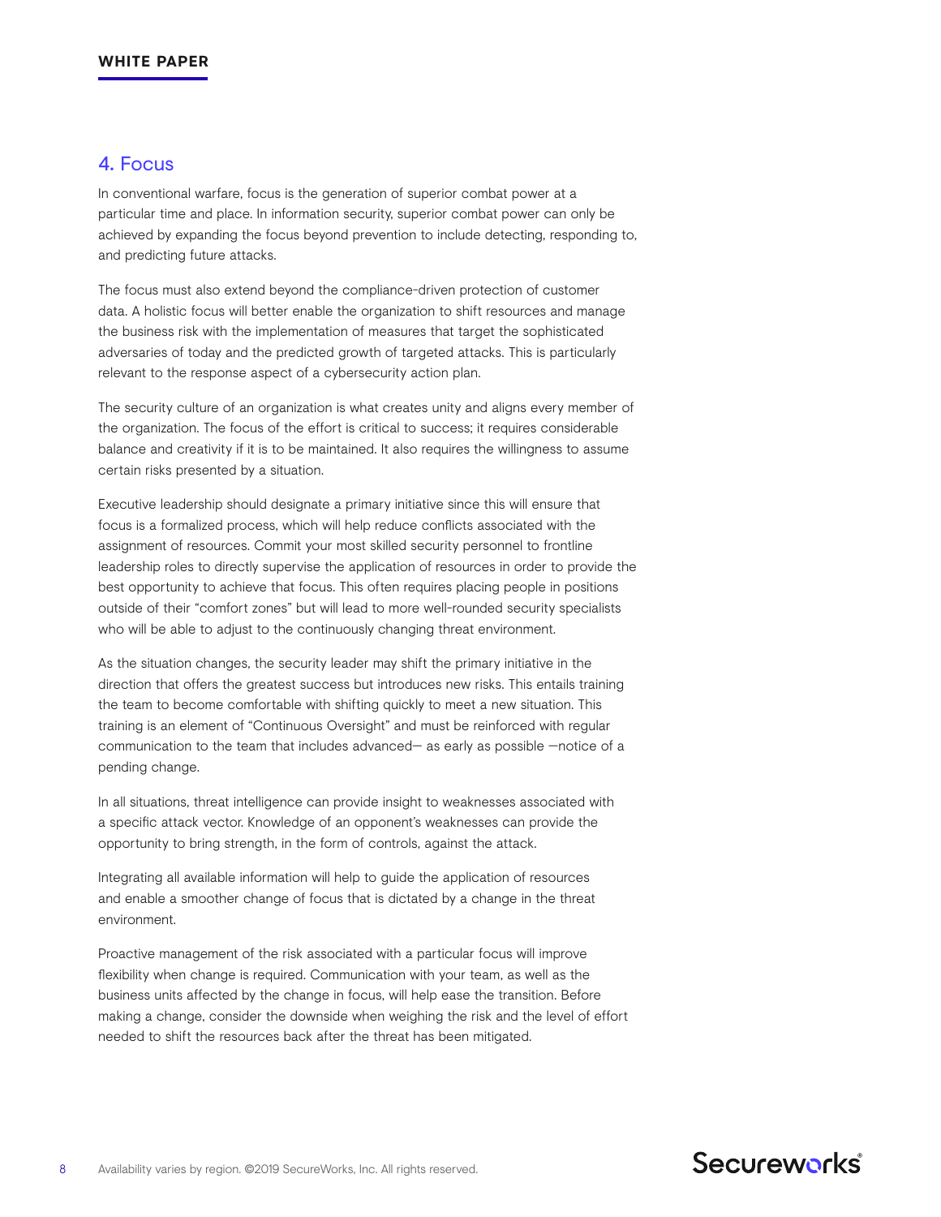## 4. Focus

In conventional warfare, focus is the generation of superior combat power at a particular time and place. In information security, superior combat power can only be achieved by expanding the focus beyond prevention to include detecting, responding to, and predicting future attacks.

The focus must also extend beyond the compliance-driven protection of customer data. A holistic focus will better enable the organization to shift resources and manage the business risk with the implementation of measures that target the sophisticated adversaries of today and the predicted growth of targeted attacks. This is particularly relevant to the response aspect of a cybersecurity action plan.

The security culture of an organization is what creates unity and aligns every member of the organization. The focus of the effort is critical to success; it requires considerable balance and creativity if it is to be maintained. It also requires the willingness to assume certain risks presented by a situation.

Executive leadership should designate a primary initiative since this will ensure that focus is a formalized process, which will help reduce conflicts associated with the assignment of resources. Commit your most skilled security personnel to frontline leadership roles to directly supervise the application of resources in order to provide the best opportunity to achieve that focus. This often requires placing people in positions outside of their "comfort zones" but will lead to more well-rounded security specialists who will be able to adjust to the continuously changing threat environment.

As the situation changes, the security leader may shift the primary initiative in the direction that offers the greatest success but introduces new risks. This entails training the team to become comfortable with shifting quickly to meet a new situation. This training is an element of "Continuous Oversight" and must be reinforced with regular communication to the team that includes advanced— as early as possible —notice of a pending change.

In all situations, threat intelligence can provide insight to weaknesses associated with a specific attack vector. Knowledge of an opponent's weaknesses can provide the opportunity to bring strength, in the form of controls, against the attack.

Integrating all available information will help to guide the application of resources and enable a smoother change of focus that is dictated by a change in the threat environment.

Proactive management of the risk associated with a particular focus will improve flexibility when change is required. Communication with your team, as well as the business units affected by the change in focus, will help ease the transition. Before making a change, consider the downside when weighing the risk and the level of effort needed to shift the resources back after the threat has been mitigated.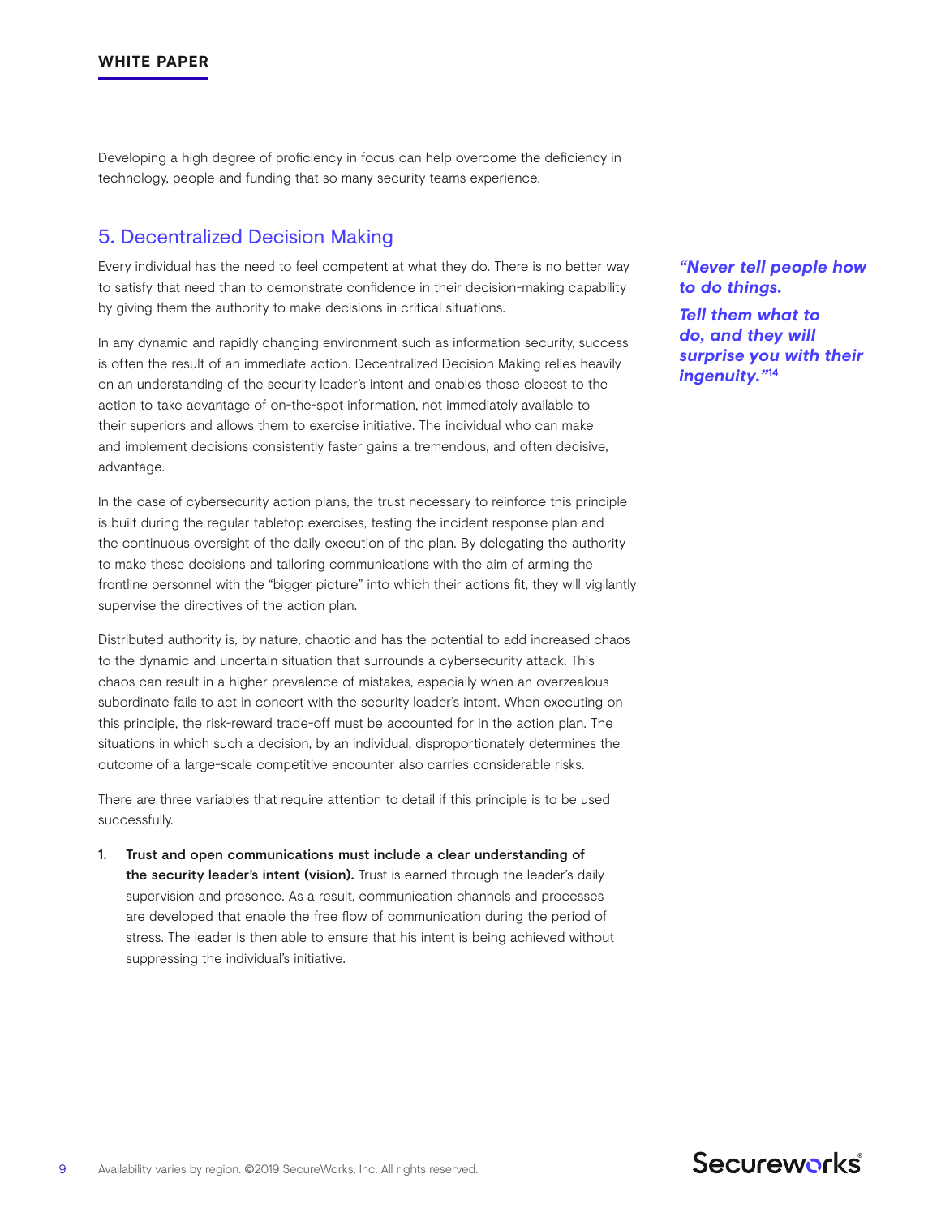Developing a high degree of proficiency in focus can help overcome the deficiency in technology, people and funding that so many security teams experience.

## 5. Decentralized Decision Making

Every individual has the need to feel competent at what they do. There is no better way to satisfy that need than to demonstrate confidence in their decision-making capability by giving them the authority to make decisions in critical situations.

In any dynamic and rapidly changing environment such as information security, success is often the result of an immediate action. Decentralized Decision Making relies heavily on an understanding of the security leader's intent and enables those closest to the action to take advantage of on-the-spot information, not immediately available to their superiors and allows them to exercise initiative. The individual who can make and implement decisions consistently faster gains a tremendous, and often decisive, advantage.

In the case of cybersecurity action plans, the trust necessary to reinforce this principle is built during the regular tabletop exercises, testing the incident response plan and the continuous oversight of the daily execution of the plan. By delegating the authority to make these decisions and tailoring communications with the aim of arming the frontline personnel with the "bigger picture" into which their actions fit, they will vigilantly supervise the directives of the action plan.

Distributed authority is, by nature, chaotic and has the potential to add increased chaos to the dynamic and uncertain situation that surrounds a cybersecurity attack. This chaos can result in a higher prevalence of mistakes, especially when an overzealous subordinate fails to act in concert with the security leader's intent. When executing on this principle, the risk-reward trade-off must be accounted for in the action plan. The situations in which such a decision, by an individual, disproportionately determines the outcome of a large-scale competitive encounter also carries considerable risks.

There are three variables that require attention to detail if this principle is to be used successfully.

1. Trust and open communications must include a clear understanding of the security leader's intent (vision). Trust is earned through the leader's daily supervision and presence. As a result, communication channels and processes are developed that enable the free flow of communication during the period of stress. The leader is then able to ensure that his intent is being achieved without suppressing the individual's initiative.

### *"Never tell people how to do things.*

*Tell them what to do, and they will surprise you with their ingenuity."***14**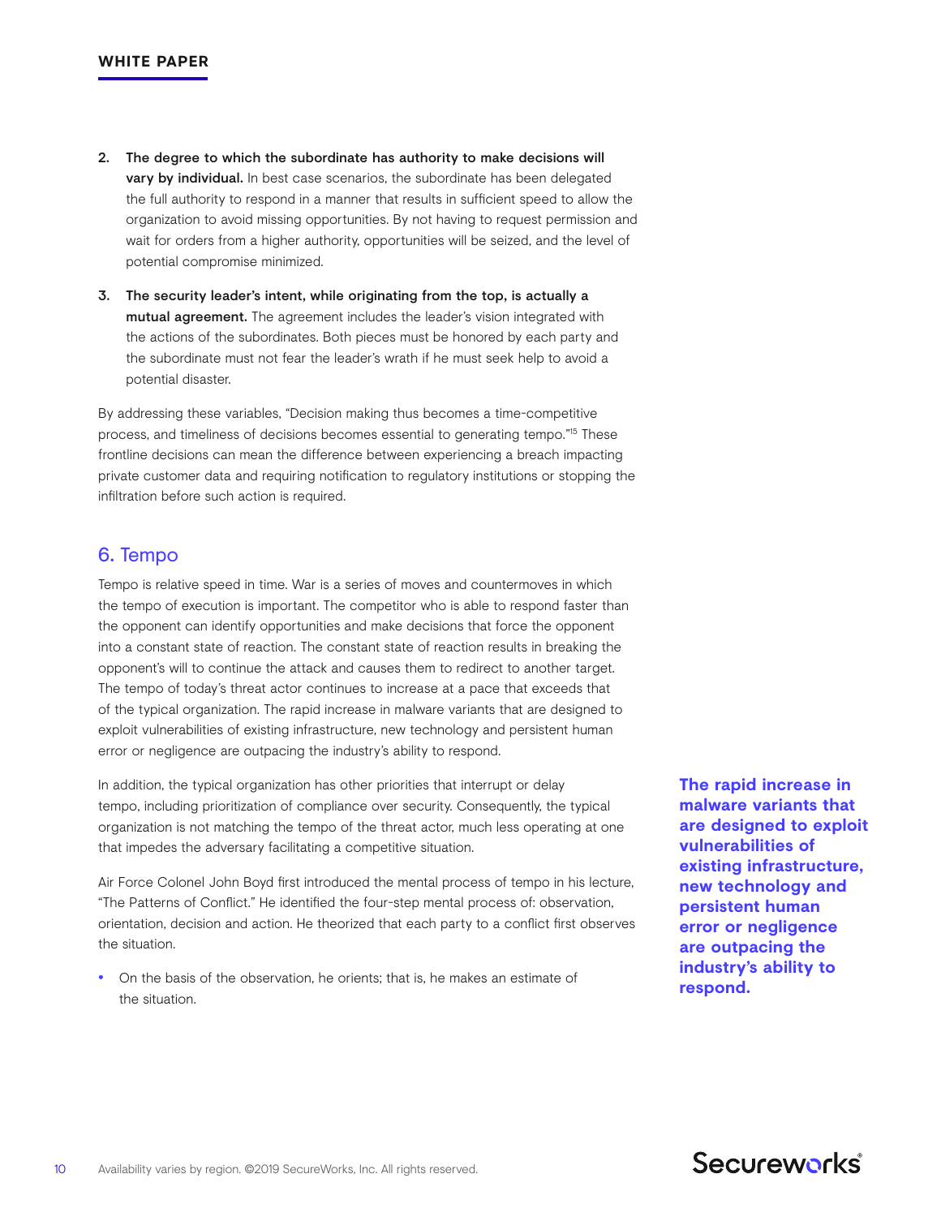- 2. The degree to which the subordinate has authority to make decisions will vary by individual. In best case scenarios, the subordinate has been delegated the full authority to respond in a manner that results in sufficient speed to allow the organization to avoid missing opportunities. By not having to request permission and wait for orders from a higher authority, opportunities will be seized, and the level of potential compromise minimized.
- 3. The security leader's intent, while originating from the top, is actually a mutual agreement. The agreement includes the leader's vision integrated with the actions of the subordinates. Both pieces must be honored by each party and the subordinate must not fear the leader's wrath if he must seek help to avoid a potential disaster.

By addressing these variables, "Decision making thus becomes a time-competitive process, and timeliness of decisions becomes essential to generating tempo."15 These frontline decisions can mean the difference between experiencing a breach impacting private customer data and requiring notification to regulatory institutions or stopping the infiltration before such action is required.

# 6. Tempo

Tempo is relative speed in time. War is a series of moves and countermoves in which the tempo of execution is important. The competitor who is able to respond faster than the opponent can identify opportunities and make decisions that force the opponent into a constant state of reaction. The constant state of reaction results in breaking the opponent's will to continue the attack and causes them to redirect to another target. The tempo of today's threat actor continues to increase at a pace that exceeds that of the typical organization. The rapid increase in malware variants that are designed to exploit vulnerabilities of existing infrastructure, new technology and persistent human error or negligence are outpacing the industry's ability to respond.

In addition, the typical organization has other priorities that interrupt or delay tempo, including prioritization of compliance over security. Consequently, the typical organization is not matching the tempo of the threat actor, much less operating at one that impedes the adversary facilitating a competitive situation.

Air Force Colonel John Boyd first introduced the mental process of tempo in his lecture, "The Patterns of Conflict." He identified the four-step mental process of: observation, orientation, decision and action. He theorized that each party to a conflict first observes the situation.

• On the basis of the observation, he orients; that is, he makes an estimate of the situation.

**The rapid increase in malware variants that are designed to exploit vulnerabilities of existing infrastructure, new technology and persistent human error or negligence are outpacing the industry's ability to respond.**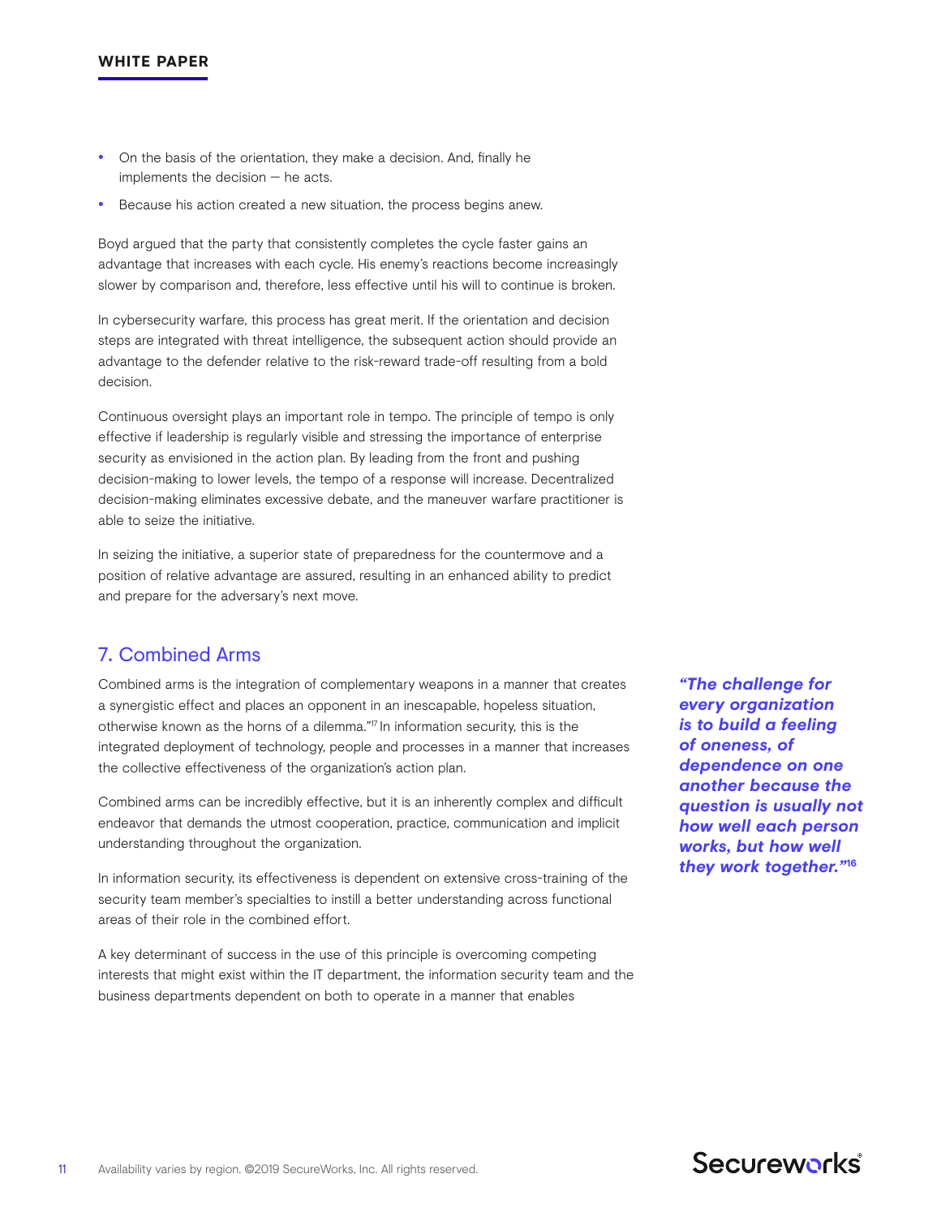- On the basis of the orientation, they make a decision. And, finally he implements the decision — he acts.
- Because his action created a new situation, the process begins anew.

Boyd argued that the party that consistently completes the cycle faster gains an advantage that increases with each cycle. His enemy's reactions become increasingly slower by comparison and, therefore, less effective until his will to continue is broken.

In cybersecurity warfare, this process has great merit. If the orientation and decision steps are integrated with threat intelligence, the subsequent action should provide an advantage to the defender relative to the risk-reward trade-off resulting from a bold decision.

Continuous oversight plays an important role in tempo. The principle of tempo is only effective if leadership is regularly visible and stressing the importance of enterprise security as envisioned in the action plan. By leading from the front and pushing decision-making to lower levels, the tempo of a response will increase. Decentralized decision-making eliminates excessive debate, and the maneuver warfare practitioner is able to seize the initiative.

In seizing the initiative, a superior state of preparedness for the countermove and a position of relative advantage are assured, resulting in an enhanced ability to predict and prepare for the adversary's next move.

# 7. Combined Arms

Combined arms is the integration of complementary weapons in a manner that creates a synergistic effect and places an opponent in an inescapable, hopeless situation, otherwise known as the horns of a dilemma."<sup>17</sup> In information security, this is the integrated deployment of technology, people and processes in a manner that increases the collective effectiveness of the organization's action plan.

Combined arms can be incredibly effective, but it is an inherently complex and difficult endeavor that demands the utmost cooperation, practice, communication and implicit understanding throughout the organization.

In information security, its effectiveness is dependent on extensive cross-training of the security team member's specialties to instill a better understanding across functional areas of their role in the combined effort.

A key determinant of success in the use of this principle is overcoming competing interests that might exist within the IT department, the information security team and the business departments dependent on both to operate in a manner that enables

*"The challenge for every organization is to build a feeling of oneness, of dependence on one another because the question is usually not how well each person works, but how well they work together."***16**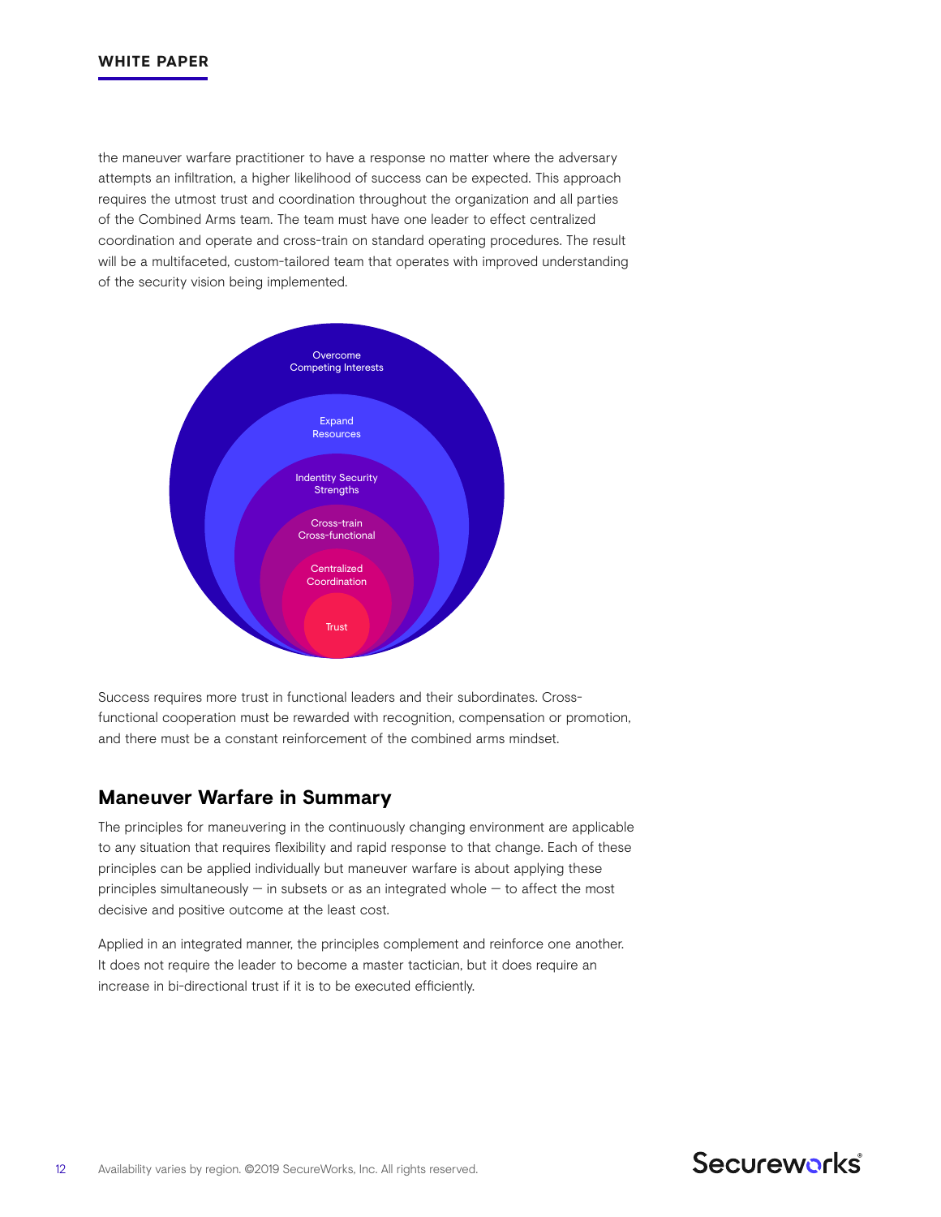the maneuver warfare practitioner to have a response no matter where the adversary attempts an infiltration, a higher likelihood of success can be expected. This approach requires the utmost trust and coordination throughout the organization and all parties of the Combined Arms team. The team must have one leader to effect centralized coordination and operate and cross-train on standard operating procedures. The result will be a multifaceted, custom-tailored team that operates with improved understanding of the security vision being implemented.



Success requires more trust in functional leaders and their subordinates. Crossfunctional cooperation must be rewarded with recognition, compensation or promotion, and there must be a constant reinforcement of the combined arms mindset.

## **Maneuver Warfare in Summary**

The principles for maneuvering in the continuously changing environment are applicable to any situation that requires flexibility and rapid response to that change. Each of these principles can be applied individually but maneuver warfare is about applying these principles simultaneously  $-$  in subsets or as an integrated whole  $-$  to affect the most decisive and positive outcome at the least cost.

Applied in an integrated manner, the principles complement and reinforce one another. It does not require the leader to become a master tactician, but it does require an increase in bi-directional trust if it is to be executed efficiently.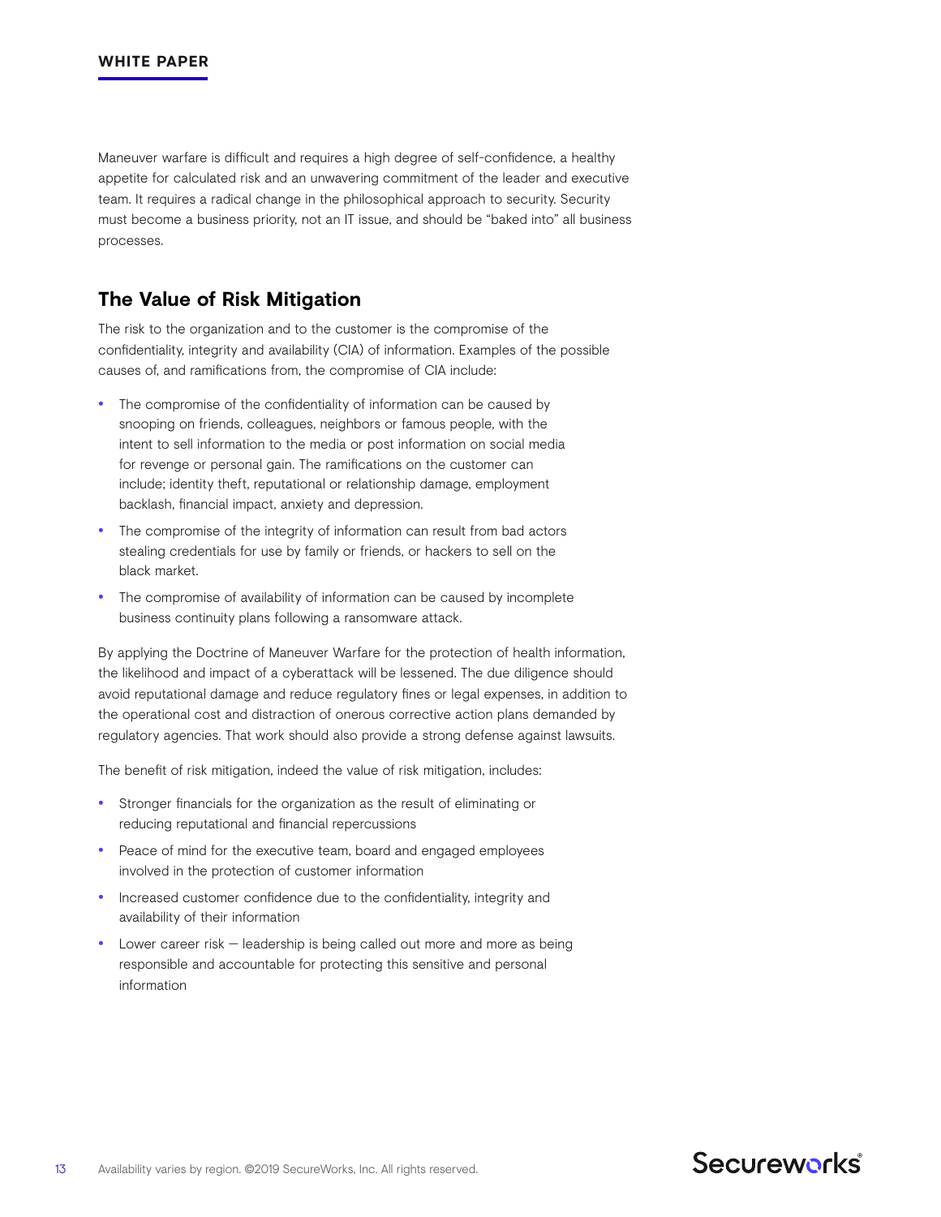Maneuver warfare is difficult and requires a high degree of self-confidence, a healthy appetite for calculated risk and an unwavering commitment of the leader and executive team. It requires a radical change in the philosophical approach to security. Security must become a business priority, not an IT issue, and should be "baked into" all business processes.

## **The Value of Risk Mitigation**

The risk to the organization and to the customer is the compromise of the confidentiality, integrity and availability (CIA) of information. Examples of the possible causes of, and ramifications from, the compromise of CIA include:

- The compromise of the confidentiality of information can be caused by snooping on friends, colleagues, neighbors or famous people, with the intent to sell information to the media or post information on social media for revenge or personal gain. The ramifications on the customer can include; identity theft, reputational or relationship damage, employment backlash, financial impact, anxiety and depression.
- The compromise of the integrity of information can result from bad actors stealing credentials for use by family or friends, or hackers to sell on the black market.
- The compromise of availability of information can be caused by incomplete business continuity plans following a ransomware attack.

By applying the Doctrine of Maneuver Warfare for the protection of health information, the likelihood and impact of a cyberattack will be lessened. The due diligence should avoid reputational damage and reduce regulatory fines or legal expenses, in addition to the operational cost and distraction of onerous corrective action plans demanded by regulatory agencies. That work should also provide a strong defense against lawsuits.

The benefit of risk mitigation, indeed the value of risk mitigation, includes:

- Stronger financials for the organization as the result of eliminating or reducing reputational and financial repercussions
- Peace of mind for the executive team, board and engaged employees involved in the protection of customer information
- Increased customer confidence due to the confidentiality, integrity and availability of their information
- Lower career risk  $-$  leadership is being called out more and more as being responsible and accountable for protecting this sensitive and personal information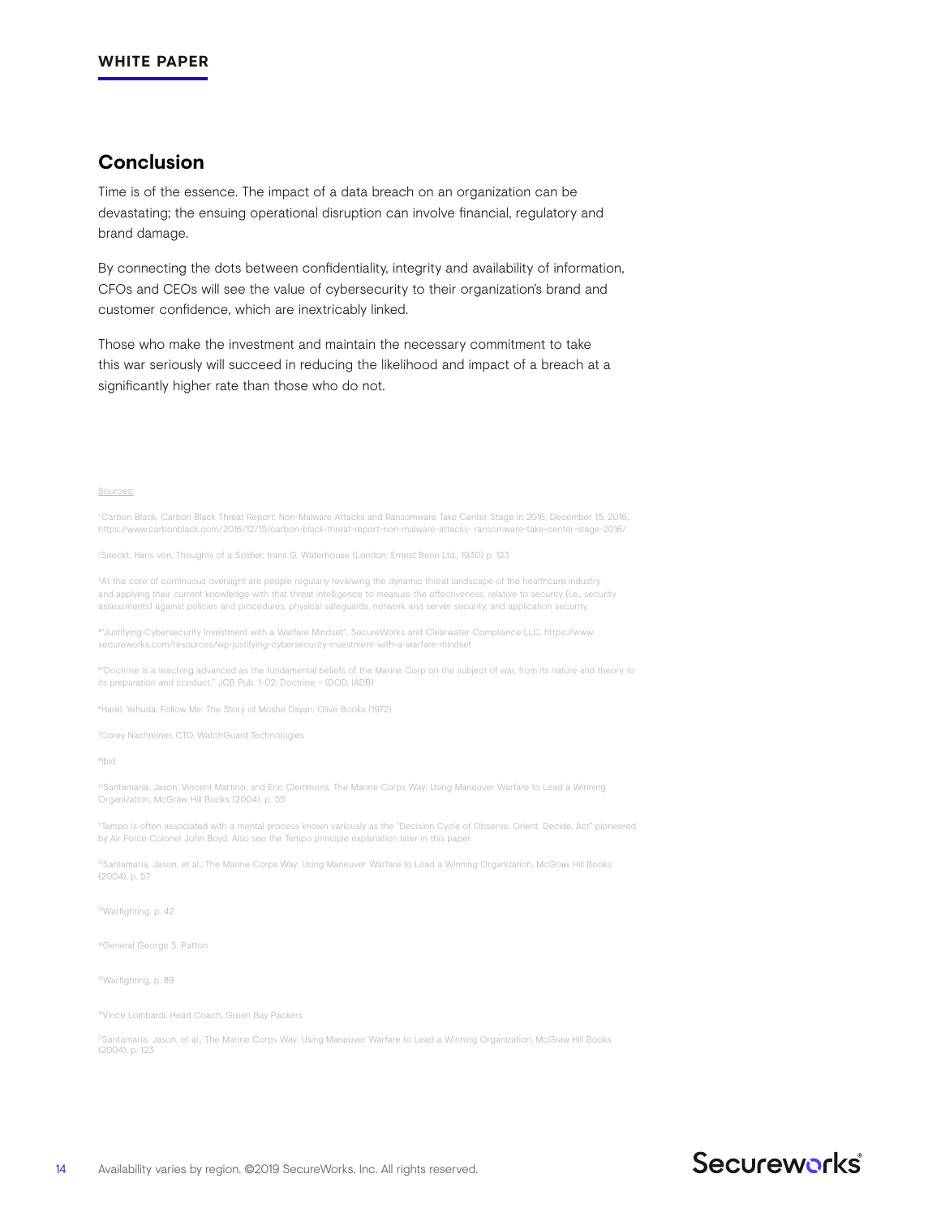# **Conclusion**

Time is of the essence. The impact of a data breach on an organization can be devastating; the ensuing operational disruption can involve financial, regulatory and brand damage.

By connecting the dots between confidentiality, integrity and availability of information, CFOs and CEOs will see the value of cybersecurity to their organization's brand and customer confidence, which are inextricably linked.

Those who make the investment and maintain the necessary commitment to take this war seriously will succeed in reducing the likelihood and impact of a breach at a significantly higher rate than those who do not.

Sources:

1 Carbon Black, Carbon Black Threat Report: Non-Malware Attacks and Ransomware Take Center Stage in 2016, December 15, 2016, https://www.carbonblack.com/2016/12/15/carbon-black-threat-report-non-malware-attacks- ransomware-take-center-stage-2016/

2 Seeckt, Hans von, Thoughts of a Soldier, trans G. Waterhouse (London: Ernest Benn Ltd., 1930) p. 123

 $3$ At the core of continuous oversight are people regularly reviewing the dynamic threat landscape of the healthcare industry and applying their current knowledge with that threat intelligence to measure the effectiveness, relative to security (i.e., security assessments) against policies and procedures, physical safeguards, network and server security, and application security.

⁴"Justifying Cybersecurity Investment with a Warfare Mindset", SecureWorks and Clearwater Compliance LLC, https://www. secureworks.com/resources/wp-justifying-cybersecurity-investment-with-a-warfare-mindset

⁵"Doctrine is a teaching advanced as the fundamental beliefs of the Marine Corp on the subject of war, from its nature and theory to its preparation and conduct." JCB Pub. 1-02: Doctrine – (DOD, IADB)

⁶Harel, Yehuda, Follow Me: The Story of Moshe Dayan, Olive Books (1972)

⁷Corey Nachreiner, CTO, WatchGuard Technologies

⁹Ibid

<sup>10</sup>Santamaria, Jason, Vincent Martino, and Eric Clemmons, The Marine Corps Way: Using Maneuver Warfare to Lead a Winning Organization, McGraw Hill Books (2004), p. 55

11Tempo is often associated with a mental process known variously as the "Decision Cycle of Observe, Orient, Decide, Act" pioneered by Air Force Colonel John Boyd. Also see the Tempo principle explanation later in this paper.

<sup>12</sup>Santamaria, Jason, et al., The Marine Corps Way: Using Maneuver Warfare to Lead a Winning Organization, McGraw Hill Books (2004), p. 57

13Warfighting, p. 42

<sup>14</sup>General George S. Patton

15Warfighting, p. 89

16Vince Lombardi, Head Coach, Green Bay Packers

17Santamaria, Jason, et al., The Marine Corps Way: Using Maneuver Warfare to Lead a Winning Organization, McGraw Hill Books (2004), p. 123